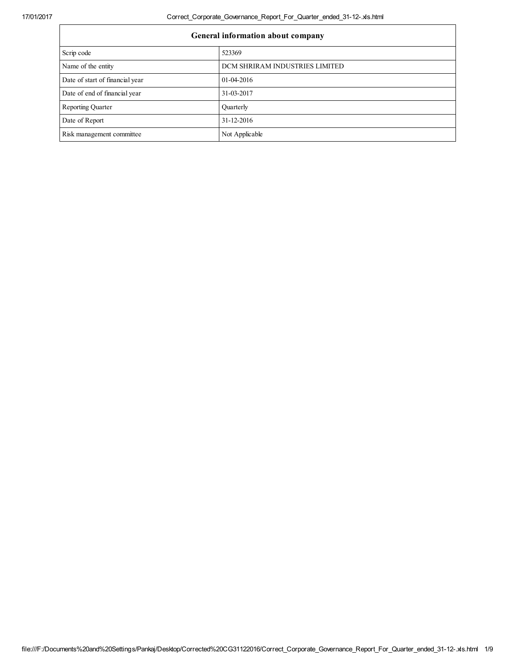17/01/2017 Correct\_Corporate\_Governance\_Report\_For\_Quarter\_ended\_31-12-.xls.html

| General information about company |                                |  |
|-----------------------------------|--------------------------------|--|
| Scrip code                        | 523369                         |  |
| Name of the entity                | DCM SHRIRAM INDUSTRIES LIMITED |  |
| Date of start of financial year   | $01-04-2016$                   |  |
| Date of end of financial year     | 31-03-2017                     |  |
| <b>Reporting Quarter</b>          | Ouarterly                      |  |
| Date of Report                    | 31-12-2016                     |  |
| Risk management committee         | Not Applicable                 |  |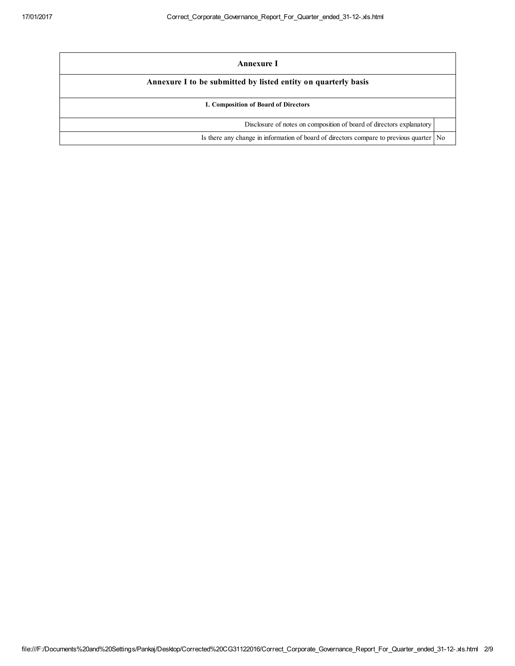| Annexure I                                                                                |  |  |
|-------------------------------------------------------------------------------------------|--|--|
| Annexure I to be submitted by listed entity on quarterly basis                            |  |  |
| I. Composition of Board of Directors                                                      |  |  |
| Disclosure of notes on composition of board of directors explanatory                      |  |  |
| Is there any change in information of board of directors compare to previous quarter   No |  |  |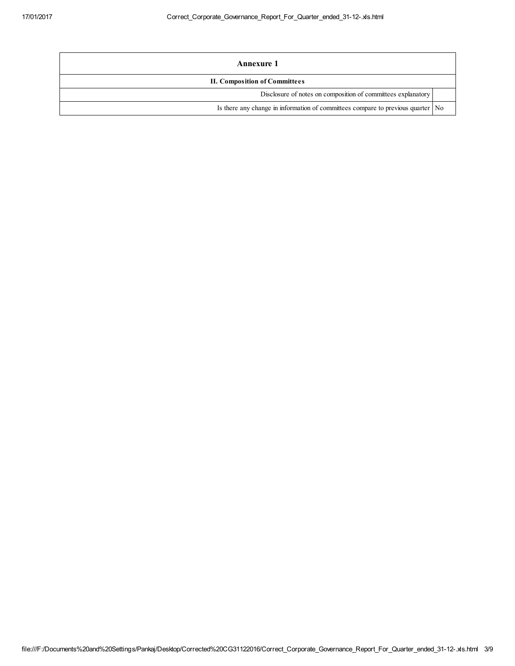| <b>Annexure 1</b>                                                                 |  |  |
|-----------------------------------------------------------------------------------|--|--|
| <b>II. Composition of Committees</b>                                              |  |  |
| Disclosure of notes on composition of committees explanatory                      |  |  |
| Is there any change in information of committees compare to previous quarter   No |  |  |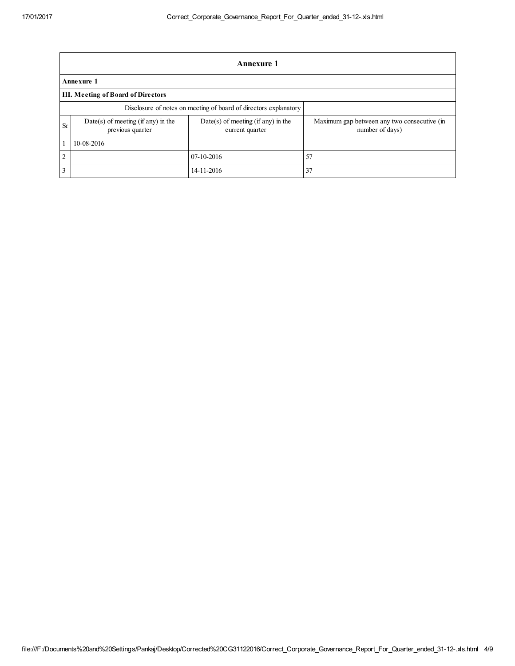|                | <b>Annexure 1</b>                                                |                                                         |                                                                |  |  |  |
|----------------|------------------------------------------------------------------|---------------------------------------------------------|----------------------------------------------------------------|--|--|--|
|                | Annexure 1                                                       |                                                         |                                                                |  |  |  |
|                | III. Meeting of Board of Directors                               |                                                         |                                                                |  |  |  |
|                | Disclosure of notes on meeting of board of directors explanatory |                                                         |                                                                |  |  |  |
| <b>Sr</b>      | $Date(s)$ of meeting (if any) in the<br>previous quarter         | $Date(s)$ of meeting (if any) in the<br>current quarter | Maximum gap between any two consecutive (in<br>number of days) |  |  |  |
|                | 10-08-2016                                                       |                                                         |                                                                |  |  |  |
| $\overline{2}$ |                                                                  | 07-10-2016                                              | 57                                                             |  |  |  |
| 3              |                                                                  | 14-11-2016                                              | 37                                                             |  |  |  |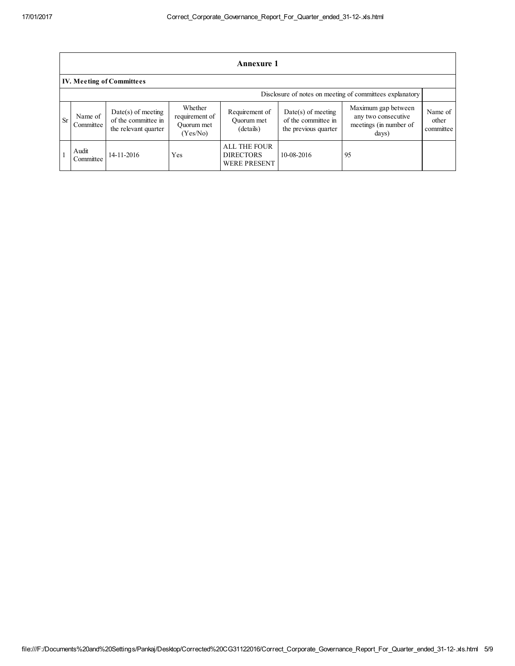|    | Annexure 1                                               |                                                                     |                                                     |                                                                |                                                                     |                                                                                          |                               |
|----|----------------------------------------------------------|---------------------------------------------------------------------|-----------------------------------------------------|----------------------------------------------------------------|---------------------------------------------------------------------|------------------------------------------------------------------------------------------|-------------------------------|
|    | <b>IV. Meeting of Committees</b>                         |                                                                     |                                                     |                                                                |                                                                     |                                                                                          |                               |
|    | Disclosure of notes on meeting of committees explanatory |                                                                     |                                                     |                                                                |                                                                     |                                                                                          |                               |
| Sr | Name of<br>Committee                                     | $Date(s)$ of meeting<br>of the committee in<br>the relevant quarter | Whether<br>requirement of<br>Ouorum met<br>(Yes/No) | Requirement of<br>Ouorum met<br>(details)                      | $Date(s)$ of meeting<br>of the committee in<br>the previous quarter | Maximum gap between<br>any two consecutive<br>meetings (in number of<br>$\frac{days}{ }$ | Name of<br>other<br>committee |
|    | Audit<br>Committee                                       | 14-11-2016                                                          | Yes                                                 | <b>ALL THE FOUR</b><br><b>DIRECTORS</b><br><b>WERE PRESENT</b> | 10-08-2016                                                          | 95                                                                                       |                               |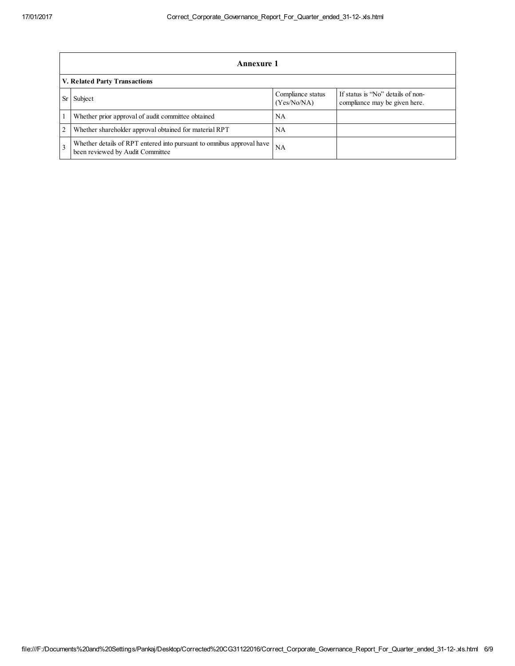|                | Annexure 1                                                                                                |                                  |                                                                    |  |  |
|----------------|-----------------------------------------------------------------------------------------------------------|----------------------------------|--------------------------------------------------------------------|--|--|
|                | V. Related Party Transactions                                                                             |                                  |                                                                    |  |  |
| Sr             | Subject                                                                                                   | Compliance status<br>(Yes/No/NA) | If status is "No" details of non-<br>compliance may be given here. |  |  |
|                | Whether prior approval of audit committee obtained                                                        | NA                               |                                                                    |  |  |
| $\overline{2}$ | Whether shareholder approval obtained for material RPT                                                    | NA                               |                                                                    |  |  |
|                | Whether details of RPT entered into pursuant to omnibus approval have<br>been reviewed by Audit Committee | NA                               |                                                                    |  |  |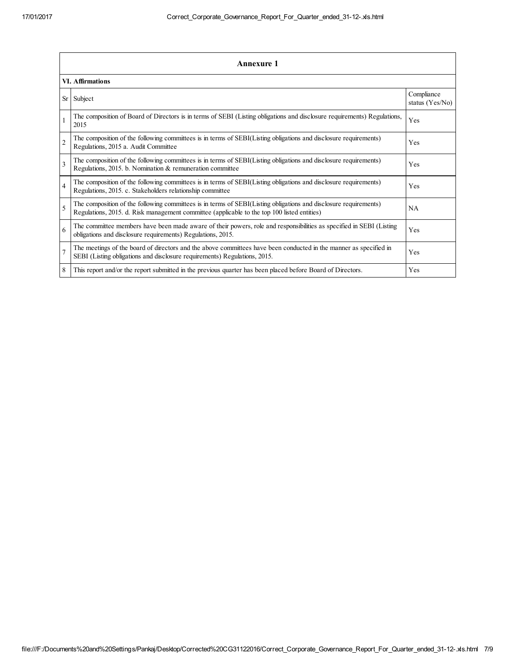|                | <b>Annexure 1</b>                                                                                                                                                                                               |                               |  |  |  |
|----------------|-----------------------------------------------------------------------------------------------------------------------------------------------------------------------------------------------------------------|-------------------------------|--|--|--|
|                | VI. Affirmations                                                                                                                                                                                                |                               |  |  |  |
| <b>Sr</b>      | Subject                                                                                                                                                                                                         | Compliance<br>status (Yes/No) |  |  |  |
|                | The composition of Board of Directors is in terms of SEBI (Listing obligations and disclosure requirements) Regulations,<br>2015                                                                                | Yes                           |  |  |  |
| $\overline{c}$ | The composition of the following committees is in terms of SEBI(Listing obligations and disclosure requirements)<br>Regulations, 2015 a. Audit Committee                                                        | Yes                           |  |  |  |
| 3              | The composition of the following committees is in terms of SEBI(Listing obligations and disclosure requirements)<br>Regulations, 2015. b. Nomination & remuneration committee                                   | Yes                           |  |  |  |
| $\overline{4}$ | The composition of the following committees is in terms of SEBI(Listing obligations and disclosure requirements)<br>Regulations, 2015. c. Stakeholders relationship committee                                   | Yes                           |  |  |  |
| 5              | The composition of the following committees is in terms of SEBI(Listing obligations and disclosure requirements)<br>Regulations, 2015. d. Risk management committee (applicable to the top 100 listed entities) | <b>NA</b>                     |  |  |  |
| 6              | The committee members have been made aware of their powers, role and responsibilities as specified in SEBI (Listing<br>obligations and disclosure requirements) Regulations, 2015.                              | Yes                           |  |  |  |
| $\overline{7}$ | The meetings of the board of directors and the above committees have been conducted in the manner as specified in<br>SEBI (Listing obligations and disclosure requirements) Regulations, 2015.                  | Yes                           |  |  |  |
| 8              | This report and/or the report submitted in the previous quarter has been placed before Board of Directors.                                                                                                      | Yes                           |  |  |  |